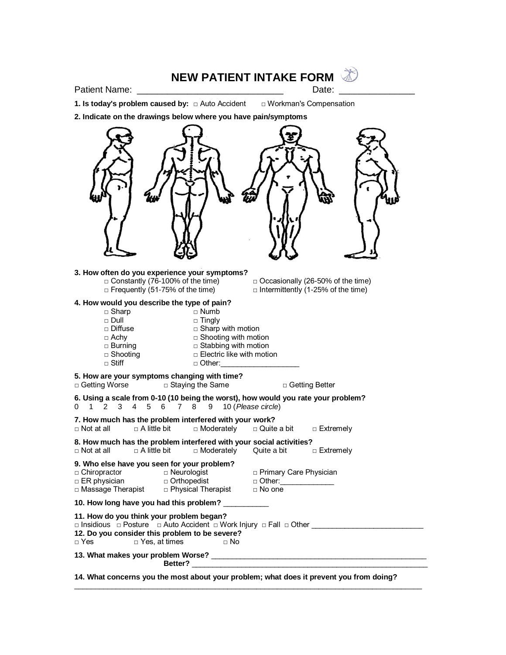# **NEW PATIENT INTAKE FORM**

Patient Name: \_\_\_\_\_\_\_\_\_\_\_\_\_\_\_\_\_\_\_\_\_\_\_\_\_\_\_\_\_ Date: \_\_\_\_\_\_\_\_\_\_\_\_\_\_\_

**1. Is today's problem caused by:** □ Auto Accident □ Workman's Compensation

**2. Indicate on the drawings below where you have pain/symptoms**



**14. What concerns you the most about your problem; what does it prevent you from doing?**

 $\_$  ,  $\_$  ,  $\_$  ,  $\_$  ,  $\_$  ,  $\_$  ,  $\_$  ,  $\_$  ,  $\_$  ,  $\_$  ,  $\_$  ,  $\_$  ,  $\_$  ,  $\_$  ,  $\_$  ,  $\_$  ,  $\_$  ,  $\_$  ,  $\_$  ,  $\_$  ,  $\_$  ,  $\_$  ,  $\_$  ,  $\_$  ,  $\_$  ,  $\_$  ,  $\_$  ,  $\_$  ,  $\_$  ,  $\_$  ,  $\_$  ,  $\_$  ,  $\_$  ,  $\_$  ,  $\_$  ,  $\_$  ,  $\_$  ,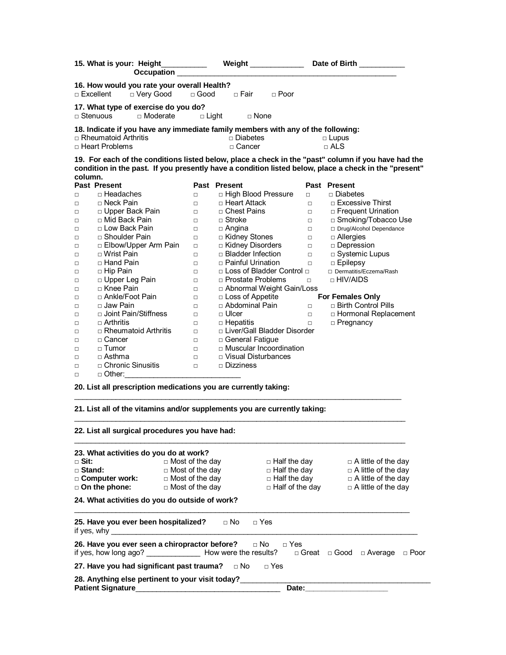| 15. What is your: Height_<br>Occupation                                                      |                                             | ____________  Weight ______________ |                                            | Date of Birth _________                                                                               |
|----------------------------------------------------------------------------------------------|---------------------------------------------|-------------------------------------|--------------------------------------------|-------------------------------------------------------------------------------------------------------|
| 16. How would you rate your overall Health?<br>□ Excellent<br>□ Very Good                    | $\Box$ Good                                 | □ Fair<br>$\Box$ Poor               |                                            |                                                                                                       |
| 17. What type of exercise do you do?                                                         |                                             |                                     |                                            |                                                                                                       |
| □ Moderate<br>□ Stenuous_                                                                    | $\Box$ Light                                | □ None                              |                                            |                                                                                                       |
| 18. Indicate if you have any immediate family members with any of the following:             |                                             |                                     |                                            |                                                                                                       |
| □ Rheumatoid Arthritis                                                                       |                                             | □ Diabetes                          |                                            | $\Box$ Lupus                                                                                          |
| □ Heart Problems                                                                             |                                             | <sub>□</sub> Cancer                 |                                            | $\sqcap$ ALS                                                                                          |
|                                                                                              |                                             |                                     |                                            | 19. For each of the conditions listed below, place a check in the "past" column if you have had the   |
|                                                                                              |                                             |                                     |                                            | "condition in the past. If you presently have a condition listed below, place a check in the "present |
| column.                                                                                      |                                             |                                     |                                            |                                                                                                       |
| Past Present                                                                                 |                                             | Past Present                        |                                            | Past Present                                                                                          |
| □ Headaches<br>$\Box$                                                                        | $\Box$                                      | □ High Blood Pressure               | $\Box$                                     | □ Diabetes                                                                                            |
| □ Neck Pain<br>$\Box$                                                                        | $\Box$                                      | □ Heart Attack                      | $\Box$                                     | $\Box$ Excessive Thirst                                                                               |
| □ Upper Back Pain<br>$\Box$                                                                  | $\Box$                                      | □ Chest Pains                       | $\Box$                                     | □ Frequent Urination                                                                                  |
| □ Mid Back Pain<br>$\Box$                                                                    | $\Box$                                      | $\Box$ Stroke                       | $\Box$                                     | □ Smoking/Tobacco Use                                                                                 |
| □ Low Back Pain<br>$\Box$                                                                    | $\Box$                                      | $\Box$ Angina                       | $\Box$                                     | □ Drug/Alcohol Dependance                                                                             |
| □ Shoulder Pain<br>$\Box$                                                                    | $\Box$                                      | □ Kidney Stones                     | $\Box$                                     | $\Box$ Allergies                                                                                      |
| □ Elbow/Upper Arm Pain<br>□                                                                  | $\Box$                                      | □ Kidney Disorders                  | $\Box$                                     | □ Depression                                                                                          |
| $\sqcap$ Wrist Pain<br>□                                                                     | $\Box$                                      | □ Bladder Infection                 | $\Box$                                     | □ Systemic Lupus                                                                                      |
| □ Hand Pain<br>$\Box$                                                                        | $\Box$                                      | $\Box$ Painful Urination            | $\Box$                                     | $\Box$ Epilepsy                                                                                       |
| $\Box$ Hip Pain<br>$\Box$                                                                    | $\Box$                                      | □ Loss of Bladder Control □         |                                            | □ Dermatitis/Eczema/Rash<br>$\Box$ HIV/AIDS                                                           |
| □ Upper Leg Pain<br>□                                                                        | $\Box$                                      | □ Prostate Problems                 | $\Box$                                     |                                                                                                       |
| □ Knee Pain<br>$\Box$                                                                        | $\Box$                                      | □ Abnormal Weight Gain/Loss         |                                            |                                                                                                       |
| □ Ankle/Foot Pain<br>□                                                                       | $\Box$                                      | $\Box$ Loss of Appetite             |                                            | <b>For Females Only</b>                                                                               |
| □ Jaw Pain<br>$\Box$                                                                         | $\Box$                                      | □ Abdominal Pain                    | $\Box$                                     | $\Box$ Birth Control Pills                                                                            |
| □ Joint Pain/Stiffness<br>$\Box$                                                             | $\Box$                                      | $\Box$ Ulcer                        | $\Box$                                     | □ Hormonal Replacement                                                                                |
| □ Arthritis<br>$\Box$                                                                        | $\Box$                                      | $\Box$ Hepatitis                    | $\Box$                                     | $\Box$ Pregnancy                                                                                      |
| □ Rheumatoid Arthritis<br>$\Box$                                                             | $\Box$                                      | □ Liver/Gall Bladder Disorder       |                                            |                                                                                                       |
| □ Cancer<br>$\Box$                                                                           | $\Box$                                      | □ General Fatigue                   |                                            |                                                                                                       |
| $\Box$ Tumor<br>□                                                                            | $\Box$                                      | □ Muscular Incoordination           |                                            |                                                                                                       |
| $\Box$ Asthma<br>$\Box$                                                                      | $\Box$                                      | $\Box$ Visual Disturbances          |                                            |                                                                                                       |
| $\Box$ Chronic Sinusitis<br>$\Box$                                                           | $\Box$                                      | $\Box$ Dizziness                    |                                            |                                                                                                       |
| □ Other:<br>$\Box$                                                                           |                                             |                                     |                                            |                                                                                                       |
| 20. List all prescription medications you are currently taking:                              |                                             |                                     |                                            |                                                                                                       |
| 21. List all of the vitamins and/or supplements you are currently taking:                    |                                             |                                     |                                            |                                                                                                       |
| 22. List all surgical procedures you have had:                                               |                                             |                                     |                                            |                                                                                                       |
|                                                                                              |                                             |                                     |                                            |                                                                                                       |
| 23. What activities do you do at work?                                                       |                                             |                                     |                                            |                                                                                                       |
| □ Sit:                                                                                       | $\Box$ Most of the day                      |                                     | □ Half the day                             | $\Box$ A little of the day                                                                            |
| □ Stand:<br>□ Computer work:                                                                 | $\Box$ Most of the day<br>□ Most of the day |                                     | $\Box$ Half the day<br>$\Box$ Half the day | $\Box$ A little of the day<br>$\Box$ A little of the day                                              |
| □ On the phone:                                                                              | $\Box$ Most of the day                      |                                     | $\Box$ Half of the day                     | $\Box$ A little of the day                                                                            |
|                                                                                              |                                             |                                     |                                            |                                                                                                       |
| 24. What activities do you do outside of work?                                               |                                             |                                     |                                            |                                                                                                       |
| 25. Have you ever been hospitalized?<br>if yes, why $\qquad \qquad$                          |                                             | $\Box$ No<br>$\Box$ Yes             |                                            |                                                                                                       |
| 26. Have you ever seen a chiropractor before?<br>if yes, how long ago? How were the results? |                                             | $\Box$ No                           | $\Box$ Yes                                 | $\Box$ Great $\Box$ Good $\Box$ Average<br>□ Poor                                                     |
| 27. Have you had significant past trauma?                                                    |                                             | $\Box$ No<br>$\Box$ Yes             |                                            |                                                                                                       |
| 28. Anything else pertinent to your visit today?<br><b>Patient Signature</b>                 |                                             |                                     | Date:                                      |                                                                                                       |
|                                                                                              |                                             |                                     |                                            |                                                                                                       |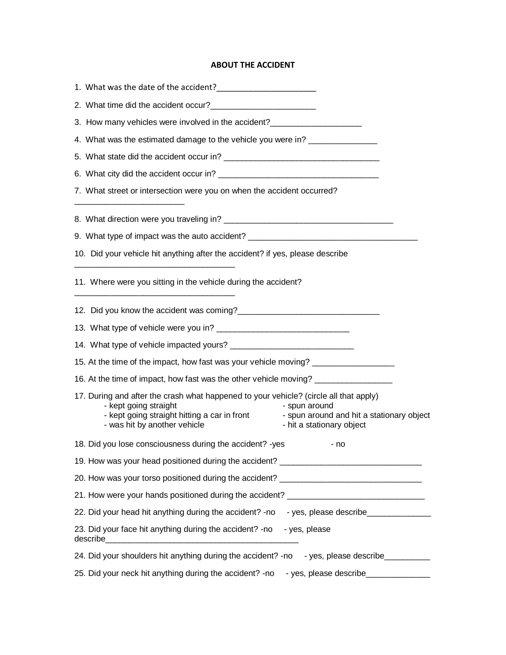# **ABOUT THE ACCIDENT**

| 3. How many vehicles were involved in the accident?                                                                                            |                                              |                                                                                          |
|------------------------------------------------------------------------------------------------------------------------------------------------|----------------------------------------------|------------------------------------------------------------------------------------------|
| 4. What was the estimated damage to the vehicle you were in? ___________________                                                               |                                              |                                                                                          |
|                                                                                                                                                |                                              |                                                                                          |
|                                                                                                                                                |                                              |                                                                                          |
| 7. What street or intersection were you on when the accident occurred?                                                                         |                                              |                                                                                          |
|                                                                                                                                                |                                              |                                                                                          |
|                                                                                                                                                |                                              | 9. What type of impact was the auto accident? __________________________________         |
| 10. Did your vehicle hit anything after the accident? if yes, please describe                                                                  |                                              |                                                                                          |
| 11. Where were you sitting in the vehicle during the accident?                                                                                 |                                              |                                                                                          |
| 12. Did you know the accident was coming?<br>12. Did you know the accident was coming?                                                         |                                              |                                                                                          |
|                                                                                                                                                |                                              |                                                                                          |
|                                                                                                                                                |                                              |                                                                                          |
|                                                                                                                                                |                                              | 15. At the time of the impact, how fast was your vehicle moving? _______________         |
|                                                                                                                                                |                                              | 16. At the time of impact, how fast was the other vehicle moving? _______________        |
| 17. During and after the crash what happened to your vehicle? (circle all that apply)<br>- kept going straight<br>- was hit by another vehicle | - kept going straight hitting a car in front | - spun around<br>- spun around and hit a stationary object<br>- hit a stationary object  |
| 18. Did you lose consciousness during the accident? - yes                                                                                      |                                              | - no                                                                                     |
|                                                                                                                                                |                                              | 19. How was your head positioned during the accident? __________________________         |
|                                                                                                                                                |                                              | 20. How was your torso positioned during the accident? _________________________         |
|                                                                                                                                                |                                              | 21. How were your hands positioned during the accident? ________________________         |
|                                                                                                                                                |                                              | 22. Did your head hit anything during the accident? -no -yes, please describe___________ |
| 23. Did your face hit anything during the accident? -no - yes, please                                                                          |                                              |                                                                                          |
|                                                                                                                                                |                                              | 24. Did your shoulders hit anything during the accident? -no - yes, please describe      |
|                                                                                                                                                |                                              | 25. Did your neck hit anything during the accident? -no -yes, please describe __________ |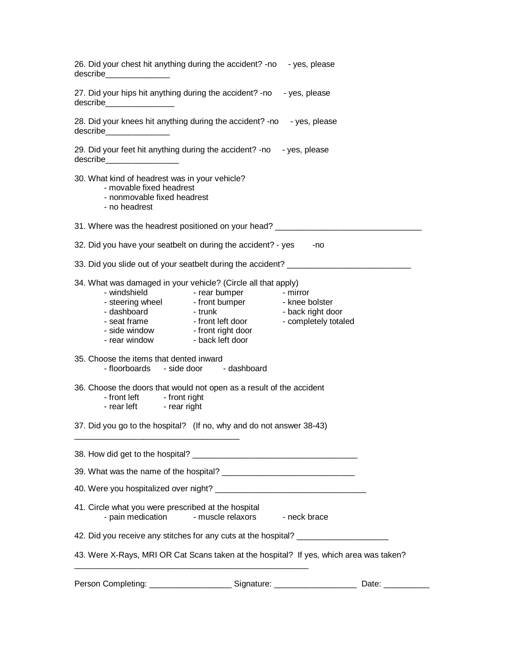|                                                                                                                                                                                                                                                                                 | Date:                                                 |
|---------------------------------------------------------------------------------------------------------------------------------------------------------------------------------------------------------------------------------------------------------------------------------|-------------------------------------------------------|
| 43. Were X-Rays, MRI OR Cat Scans taken at the hospital? If yes, which area was taken?                                                                                                                                                                                          |                                                       |
| 42. Did you receive any stitches for any cuts at the hospital? _________________                                                                                                                                                                                                |                                                       |
| 41. Circle what you were prescribed at the hospital<br>- pain medication<br>- muscle relaxors                                                                                                                                                                                   | - neck brace                                          |
|                                                                                                                                                                                                                                                                                 |                                                       |
|                                                                                                                                                                                                                                                                                 |                                                       |
|                                                                                                                                                                                                                                                                                 |                                                       |
| 37. Did you go to the hospital? (If no, why and do not answer 38-43)                                                                                                                                                                                                            |                                                       |
| 36. Choose the doors that would not open as a result of the accident<br>- front left - front right<br>- rear left - rear right                                                                                                                                                  |                                                       |
| 35. Choose the items that dented inward<br>- floorboards - side door - dashboard                                                                                                                                                                                                |                                                       |
| 34. What was damaged in your vehicle? (Circle all that apply)<br>- rear bumper<br>- windshield<br>- steering wheel - front bumper - knee bolster<br>- dashboard - trunk<br>- seat frame - front left door<br>- side window - front right door<br>- rear window - back left door | - mirror<br>- back right door<br>- completely totaled |
| 33. Did you slide out of your seatbelt during the accident? ____________________                                                                                                                                                                                                |                                                       |
| 32. Did you have your seatbelt on during the accident? - yes                                                                                                                                                                                                                    | -no                                                   |
| 31. Where was the headrest positioned on your head? ____________________________                                                                                                                                                                                                |                                                       |
| 30. What kind of headrest was in your vehicle?<br>- movable fixed headrest<br>- nonmovable fixed headrest<br>- no headrest                                                                                                                                                      |                                                       |
| 29. Did your feet hit anything during the accident? -no - yes, please                                                                                                                                                                                                           |                                                       |
| 28. Did your knees hit anything during the accident? -no - yes, please<br>describe_________________                                                                                                                                                                             |                                                       |
| 27. Did your hips hit anything during the accident? -no - yes, please<br>describe__________________                                                                                                                                                                             |                                                       |
| 26. Did your chest hit anything during the accident? -no - yes, please<br>describe________________                                                                                                                                                                              |                                                       |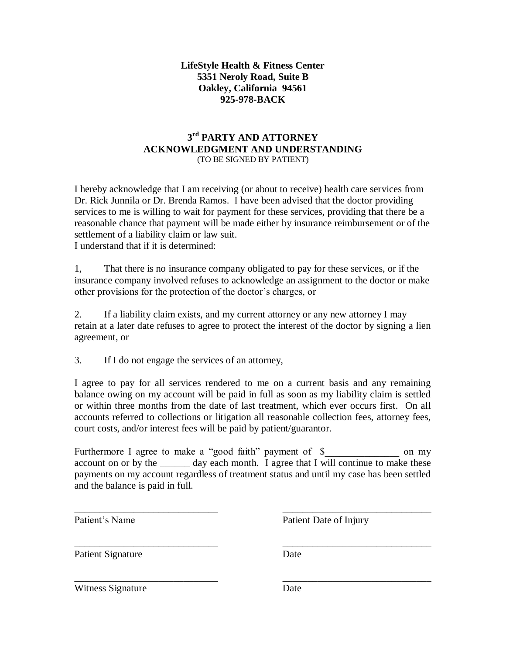# **LifeStyle Health & Fitness Center 5351 Neroly Road, Suite B Oakley, California 94561 925-978-BACK**

# **3 rd PARTY AND ATTORNEY ACKNOWLEDGMENT AND UNDERSTANDING** (TO BE SIGNED BY PATIENT)

I hereby acknowledge that I am receiving (or about to receive) health care services from Dr. Rick Junnila or Dr. Brenda Ramos. I have been advised that the doctor providing services to me is willing to wait for payment for these services, providing that there be a reasonable chance that payment will be made either by insurance reimbursement or of the settlement of a liability claim or law suit. I understand that if it is determined:

1, That there is no insurance company obligated to pay for these services, or if the insurance company involved refuses to acknowledge an assignment to the doctor or make other provisions for the protection of the doctor's charges, or

2. If a liability claim exists, and my current attorney or any new attorney I may retain at a later date refuses to agree to protect the interest of the doctor by signing a lien agreement, or

3. If I do not engage the services of an attorney,

I agree to pay for all services rendered to me on a current basis and any remaining balance owing on my account will be paid in full as soon as my liability claim is settled or within three months from the date of last treatment, which ever occurs first. On all accounts referred to collections or litigation all reasonable collection fees, attorney fees, court costs, and/or interest fees will be paid by patient/guarantor.

Furthermore I agree to make a "good faith" payment of \$ on my account on or by the \_\_\_\_\_\_ day each month. I agree that I will continue to make these payments on my account regardless of treatment status and until my case has been settled and the balance is paid in full.

\_\_\_\_\_\_\_\_\_\_\_\_\_\_\_\_\_\_\_\_\_\_\_\_\_\_\_\_\_ \_\_\_\_\_\_\_\_\_\_\_\_\_\_\_\_\_\_\_\_\_\_\_\_\_\_\_\_\_\_

\_\_\_\_\_\_\_\_\_\_\_\_\_\_\_\_\_\_\_\_\_\_\_\_\_\_\_\_\_ \_\_\_\_\_\_\_\_\_\_\_\_\_\_\_\_\_\_\_\_\_\_\_\_\_\_\_\_\_\_

\_\_\_\_\_\_\_\_\_\_\_\_\_\_\_\_\_\_\_\_\_\_\_\_\_\_\_\_\_ \_\_\_\_\_\_\_\_\_\_\_\_\_\_\_\_\_\_\_\_\_\_\_\_\_\_\_\_\_\_

Patient's Name Patient Date of Injury

Patient Signature Date

Witness Signature Date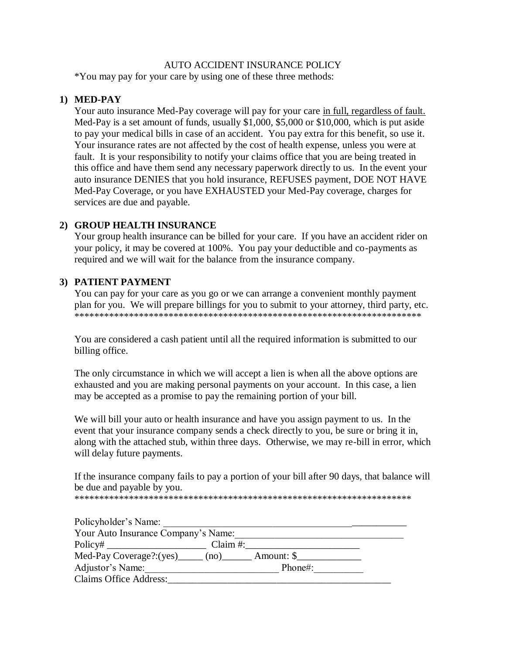# AUTO ACCIDENT INSURANCE POLICY

\*You may pay for your care by using one of these three methods:

# **1) MED-PAY**

Your auto insurance Med-Pay coverage will pay for your care in full, regardless of fault. Med-Pay is a set amount of funds, usually \$1,000, \$5,000 or \$10,000, which is put aside to pay your medical bills in case of an accident. You pay extra for this benefit, so use it. Your insurance rates are not affected by the cost of health expense, unless you were at fault. It is your responsibility to notify your claims office that you are being treated in this office and have them send any necessary paperwork directly to us. In the event your auto insurance DENIES that you hold insurance, REFUSES payment, DOE NOT HAVE Med-Pay Coverage, or you have EXHAUSTED your Med-Pay coverage, charges for services are due and payable.

# **2) GROUP HEALTH INSURANCE**

Your group health insurance can be billed for your care. If you have an accident rider on your policy, it may be covered at 100%. You pay your deductible and co-payments as required and we will wait for the balance from the insurance company.

# **3) PATIENT PAYMENT**

You can pay for your care as you go or we can arrange a convenient monthly payment plan for you. We will prepare billings for you to submit to your attorney, third party, etc. \*\*\*\*\*\*\*\*\*\*\*\*\*\*\*\*\*\*\*\*\*\*\*\*\*\*\*\*\*\*\*\*\*\*\*\*\*\*\*\*\*\*\*\*\*\*\*\*\*\*\*\*\*\*\*\*\*\*\*\*\*\*\*\*\*\*\*\*\*\*

You are considered a cash patient until all the required information is submitted to our billing office.

The only circumstance in which we will accept a lien is when all the above options are exhausted and you are making personal payments on your account. In this case, a lien may be accepted as a promise to pay the remaining portion of your bill.

We will bill your auto or health insurance and have you assign payment to us. In the event that your insurance company sends a check directly to you, be sure or bring it in, along with the attached stub, within three days. Otherwise, we may re-bill in error, which will delay future payments.

If the insurance company fails to pay a portion of your bill after 90 days, that balance will be due and payable by you.

\*\*\*\*\*\*\*\*\*\*\*\*\*\*\*\*\*\*\*\*\*\*\*\*\*\*\*\*\*\*\*\*\*\*\*\*\*\*\*\*\*\*\*\*\*\*\*\*\*\*\*\*\*\*\*\*\*\*\*\*\*\*\*\*\*\*\*\*

| Policyholder's Name:                |                                            |
|-------------------------------------|--------------------------------------------|
| Your Auto Insurance Company's Name: |                                            |
|                                     | Claim $#$ :                                |
|                                     | $Med-Pay Coverage?:(yes)$ (no) Amount: $\$ |
| Adjustor's Name:                    | Phone#:                                    |
| <b>Claims Office Address:</b>       |                                            |